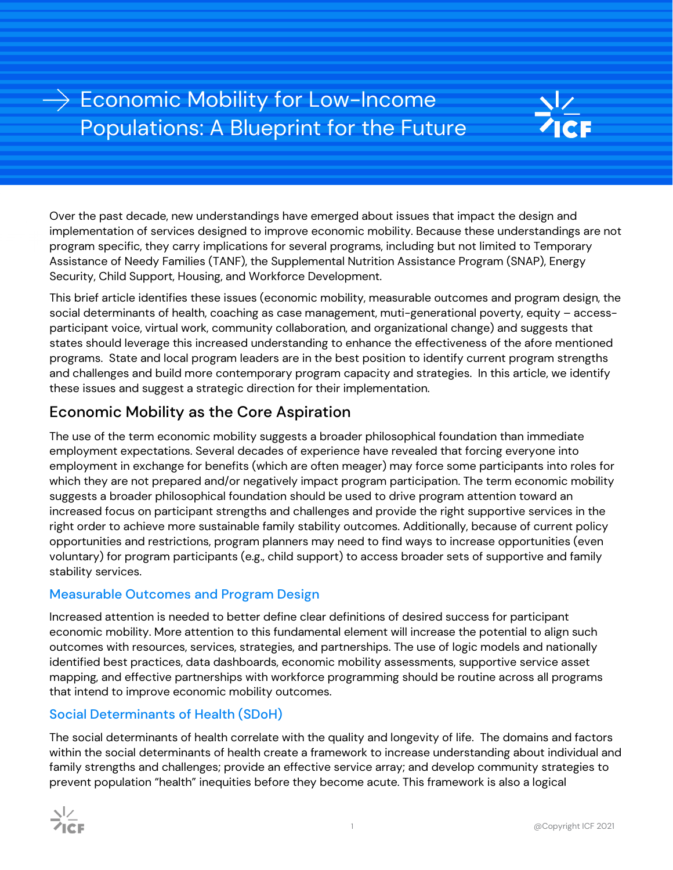# $\rightarrow$  Economic Mobility for Low-Income Populations: A Blueprint for the Future



Over the past decade, new understandings have emerged about issues that impact the design and implementation of services designed to improve economic mobility. Because these understandings are not program specific, they carry implications for several programs, including but not limited to Temporary Assistance of Needy Families (TANF), the Supplemental Nutrition Assistance Program (SNAP), Energy Security, Child Support, Housing, and Workforce Development.

This brief article identifies these issues (economic mobility, measurable outcomes and program design, the social determinants of health, coaching as case management, muti-generational poverty, equity – accessparticipant voice, virtual work, community collaboration, and organizational change) and suggests that states should leverage this increased understanding to enhance the effectiveness of the afore mentioned programs. State and local program leaders are in the best position to identify current program strengths and challenges and build more contemporary program capacity and strategies. In this article, we identify these issues and suggest a strategic direction for their implementation.

### Economic Mobility as the Core Aspiration

The use of the term economic mobility suggests a broader philosophical foundation than immediate employment expectations. Several decades of experience have revealed that forcing everyone into employment in exchange for benefits (which are often meager) may force some participants into roles for which they are not prepared and/or negatively impact program participation. The term economic mobility suggests a broader philosophical foundation should be used to drive program attention toward an increased focus on participant strengths and challenges and provide the right supportive services in the right order to achieve more sustainable family stability outcomes. Additionally, because of current policy opportunities and restrictions, program planners may need to find ways to increase opportunities (even voluntary) for program participants (e.g., child support) to access broader sets of supportive and family stability services.

#### Measurable Outcomes and Program Design

Increased attention is needed to better define clear definitions of desired success for participant economic mobility. More attention to this fundamental element will increase the potential to align such outcomes with resources, services, strategies, and partnerships. The use of logic models and nationally identified best practices, data dashboards, economic mobility assessments, supportive service asset mapping, and effective partnerships with workforce programming should be routine across all programs that intend to improve economic mobility outcomes.

#### Social Determinants of Health (SDoH)

The social determinants of health correlate with the quality and longevity of life. The domains and factors within the social determinants of health create a framework to increase understanding about individual and family strengths and challenges; provide an effective service array; and develop community strategies to prevent population "health" inequities before they become acute. This framework is also a logical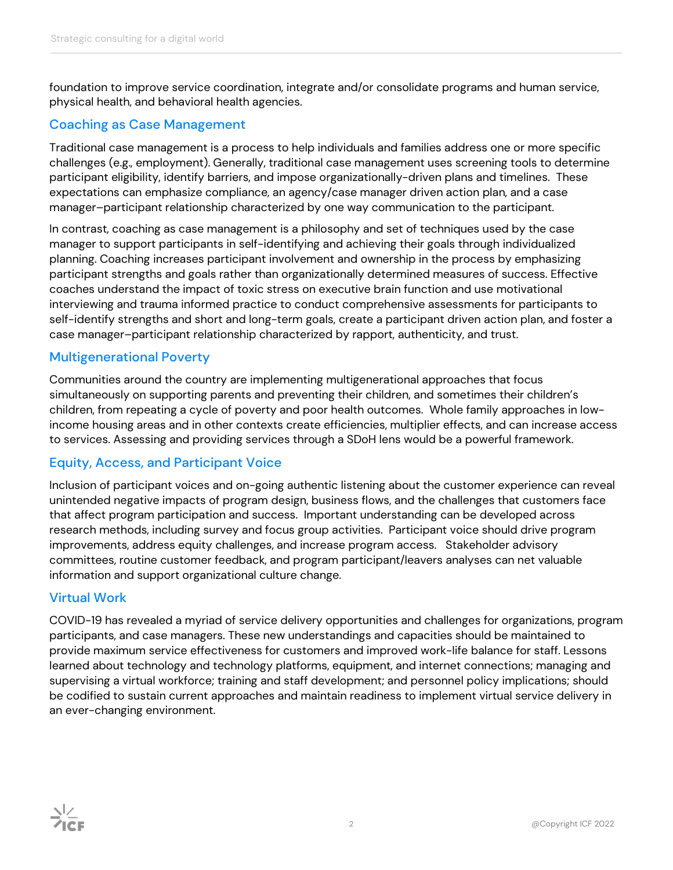foundation to improve service coordination, integrate and/or consolidate programs and human service, physical health, and behavioral health agencies.

#### Coaching as Case Management

Traditional case management is a process to help individuals and families address one or more specific challenges (e.g., employment). Generally, traditional case management uses screening tools to determine participant eligibility, identify barriers, and impose organizationally-driven plans and timelines. These expectations can emphasize compliance, an agency/case manager driven action plan, and a case manager–participant relationship characterized by one way communication to the participant.

In contrast, coaching as case management is a philosophy and set of techniques used by the case manager to support participants in self-identifying and achieving their goals through individualized planning. Coaching increases participant involvement and ownership in the process by emphasizing participant strengths and goals rather than organizationally determined measures of success. Effective coaches understand the impact of toxic stress on executive brain function and use motivational interviewing and trauma informed practice to conduct comprehensive assessments for participants to self-identify strengths and short and long-term goals, create a participant driven action plan, and foster a case manager–participant relationship characterized by rapport, authenticity, and trust.

#### Multigenerational Poverty

Communities around the country are implementing multigenerational approaches that focus simultaneously on supporting parents and preventing their children, and sometimes their children's children, from repeating a cycle of poverty and poor health outcomes. Whole family approaches in lowincome housing areas and in other contexts create efficiencies, multiplier effects, and can increase access to services. Assessing and providing services through a SDoH lens would be a powerful framework.

#### Equity, Access, and Participant Voice

Inclusion of participant voices and on-going authentic listening about the customer experience can reveal unintended negative impacts of program design, business flows, and the challenges that customers face that affect program participation and success. Important understanding can be developed across research methods, including survey and focus group activities. Participant voice should drive program improvements, address equity challenges, and increase program access. Stakeholder advisory committees, routine customer feedback, and program participant/leavers analyses can net valuable information and support organizational culture change.

#### Virtual Work

COVID-19 has revealed a myriad of service delivery opportunities and challenges for organizations, program participants, and case managers. These new understandings and capacities should be maintained to provide maximum service effectiveness for customers and improved work-life balance for staff. Lessons learned about technology and technology platforms, equipment, and internet connections; managing and supervising a virtual workforce; training and staff development; and personnel policy implications; should be codified to sustain current approaches and maintain readiness to implement virtual service delivery in an ever-changing environment.